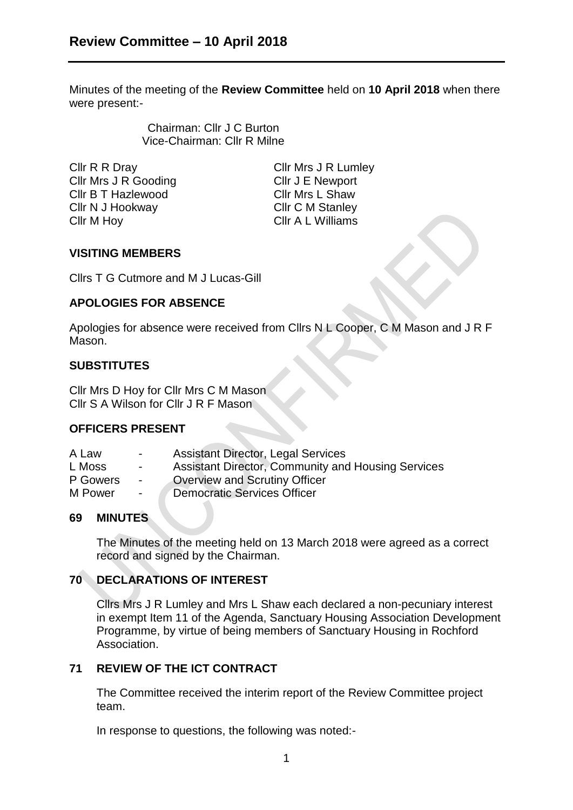Minutes of the meeting of the **Review Committee** held on **10 April 2018** when there were present:-

> Chairman: Cllr J C Burton Vice-Chairman: Cllr R Milne

Cllr R R Dray Cllr Mrs J R Lumley Cllr Mrs J R Gooding Cllr J E Newport Cllr B T Hazlewood Cllr Mrs L Shaw Cllr N J Hookway Cllr C M Stanley Cllr M Hoy Cllr A L Williams

## **VISITING MEMBERS**

Cllrs T G Cutmore and M J Lucas-Gill

## **APOLOGIES FOR ABSENCE**

Apologies for absence were received from Cllrs N L Cooper, C M Mason and J R F Mason.

# **SUBSTITUTES**

Cllr Mrs D Hoy for Cllr Mrs C M Mason Cllr S A Wilson for Cllr J R F Mason

# **OFFICERS PRESENT**

- A Law Assistant Director, Legal Services
- L Moss Assistant Director, Community and Housing Services
- P Gowers Overview and Scrutiny Officer
- M Power Democratic Services Officer

## **69 MINUTES**

The Minutes of the meeting held on 13 March 2018 were agreed as a correct record and signed by the Chairman.

## **70 DECLARATIONS OF INTEREST**

Cllrs Mrs J R Lumley and Mrs L Shaw each declared a non-pecuniary interest in exempt Item 11 of the Agenda, Sanctuary Housing Association Development Programme, by virtue of being members of Sanctuary Housing in Rochford Association.

# **71 REVIEW OF THE ICT CONTRACT**

The Committee received the interim report of the Review Committee project team.

In response to questions, the following was noted:-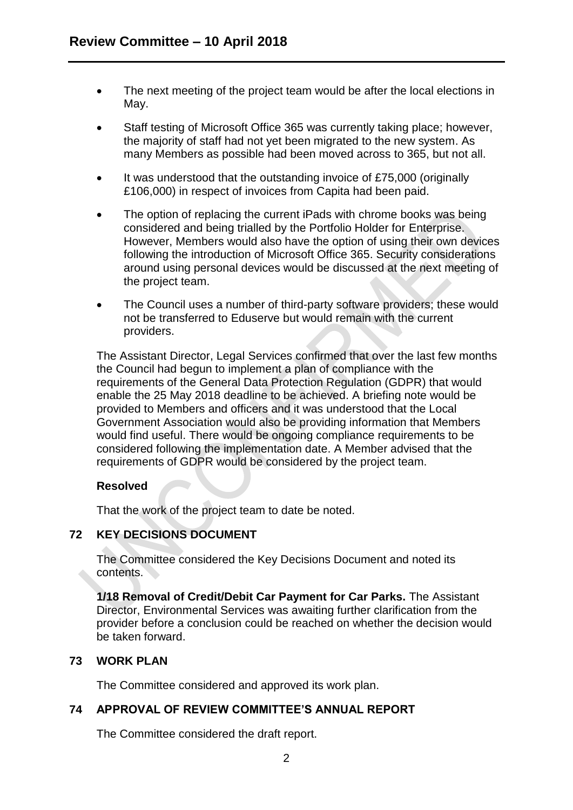- The next meeting of the project team would be after the local elections in May.
- Staff testing of Microsoft Office 365 was currently taking place; however, the majority of staff had not yet been migrated to the new system. As many Members as possible had been moved across to 365, but not all.
- It was understood that the outstanding invoice of £75,000 (originally £106,000) in respect of invoices from Capita had been paid.
- The option of replacing the current iPads with chrome books was being considered and being trialled by the Portfolio Holder for Enterprise. However, Members would also have the option of using their own devices following the introduction of Microsoft Office 365. Security considerations around using personal devices would be discussed at the next meeting of the project team.
- The Council uses a number of third-party software providers; these would not be transferred to Eduserve but would remain with the current providers.

The Assistant Director, Legal Services confirmed that over the last few months the Council had begun to implement a plan of compliance with the requirements of the General Data Protection Regulation (GDPR) that would enable the 25 May 2018 deadline to be achieved. A briefing note would be provided to Members and officers and it was understood that the Local Government Association would also be providing information that Members would find useful. There would be ongoing compliance requirements to be considered following the implementation date. A Member advised that the requirements of GDPR would be considered by the project team.

## **Resolved**

That the work of the project team to date be noted.

## **72 KEY DECISIONS DOCUMENT**

The Committee considered the Key Decisions Document and noted its contents.

**1/18 Removal of Credit/Debit Car Payment for Car Parks.** The Assistant Director, Environmental Services was awaiting further clarification from the provider before a conclusion could be reached on whether the decision would be taken forward.

#### **73 WORK PLAN**

The Committee considered and approved its work plan.

## **74 APPROVAL OF REVIEW COMMITTEE'S ANNUAL REPORT**

The Committee considered the draft report.